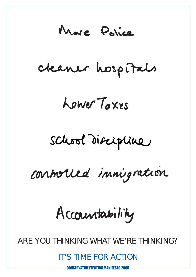More Police

cleaner hospitals

Lower Taxes

# School discipline

controlled innigration

Accountability

ARE YOU THINKING WHAT WE'RE THINKING?

### IT'S TIME FOR ACTION

CONSERVATIVE ELECTION MANIFESTO 2005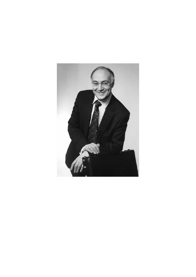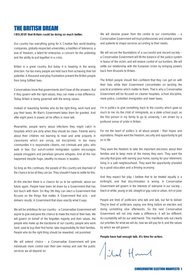### THE BRITISH DREAM

### **I BELIEVE that Britain could be doing so much better.**

Our country has everything going for it. Creative flair, world-beating companies, globally-respected universities, a tradition of tolerance, a love of freedom, a talent for enterprise, a concern for the underdog and the ability to pull together in a crisis.

Britain is a great country. But today it is heading in the wrong direction. Far too many people are held back from achieving their full potential. A thousand everyday frustrations prevent the British people from living fulfilled lives.

Conservatives know that governments don't have all the answers. But if they govern with the right values, they can make a real difference. Today, Britain is being governed with the wrong values.

Instead of rewarding families who do the right thing, work hard and pay their taxes, Mr Blair's Government takes them for granted. And after eight years in power, all he offers is more talk.

Meanwhile, people worry about infections they might catch in hospitals which are dirty when they should be clean. Parents worry about their children not learning to read and write properly in classrooms which are unruly, not disciplined. In too many communities it is responsible citizens, not criminals and yobs, who walk in fear. Our out-of-control immigration system encourages people smugglers and penalises genuine refugees. And all this has happened despite huge, stealthy increases in taxation.

So long as this continues, the people of this country are deprived of the chance to be all they can be. They shouldn't have to settle for this.

At this election there is a chance for us to be optimistic about our future again. People have been let down by a Government that has lost touch with them. On May 5th they can elect a Government that focuses on the things that matter. A Government that acts - and delivers results. A Government that does exactly what it says.

We will be ambitious for our country - a Conservative Government will aspire to give everyone the chance to make the most of their lives. We will govern on behalf of the forgotten majority and their values, the people who make up the backbone of our country: people who work hard; save to buy their first home; take responsibility for their families. People who do the right thing should be rewarded, not punished.

We will extend choice – a Conservative Government will give individuals more control over their own money and over the public services we all depend on.

We will devolve power from the centre to our communities – a Conservative Government will trust professionals and enable parents and patients to shape services according to their needs.

We will secure the foundations of a successful and decent society – a Conservative Government will tilt the balance of the justice system in favour of the victim, and will restore control of our borders. We will settle our relationship with the European Union by bringing powers back from Brussels to Britain.

The British people should feel confident that they can get on with their lives while their Government concentrates on tackling the practical problems which matter to them. That is why a Conservative Government will be focused on cleaner hospitals, school discipline, more police, controlled immigration and lower taxes.

I'm in politics to give something back to the country which gave so much to me. As the child of immigrants, as a state school pupil, as the first person in my family to go to university, I am driven by a profound sense of pride in Britain.

For me the heart of politics is all about people – their hopes and aspirations. People want the freedom, security and opportunity to get on in life.

They want the freedom to take the important decisions about their families and to keep more of the money they earn. They want the security that goes with owning your home, saving for your retirement, living in a safe neighbourhood. They want the opportunity provided by a good education and a thriving economy.

And they expect fair play. I believe that to be treated equally is a birthright, and that discrimination is wrong. A Conservative Government will govern in the interests of everyone in our society – black or white, young or old, straight or gay, rural or urban, rich or poor.

People are tired of politicians who talk and talk, but fail to deliver. They're tired of politicians saying one thing before an election and doing something else afterwards. So the next Conservative Government will not only make a difference: it will be different. Accountability will be our watchword. This manifesto sets out clearly our priorities for what we will do, how we will pay for it, and the values by which we will govern.

**People have had enough talk. It's time for action.**

Sidned Hund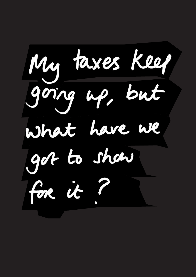My taxes keep going up, but What have we got to show for it ?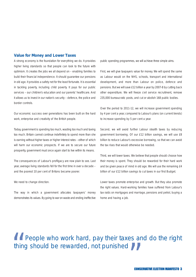### **Value for Money and Lower Taxes**

A strong economy is the foundation for everything we do. It provides higher living standards so that people can look to the future with optimism. It creates the jobs we all depend on – enabling families to build their financial independence. It should guarantee our pensions in old age. It provides a safety net for the least fortunate. It is essential in tackling poverty, including child poverty. It pays for our public services – our children's education and our parents' healthcare. And it allows us to invest in our nation's security – defence, the police and border controls.

Our economic success over generations has been built on the hard work, enterprise and creativity of the British people.

Today, government is spending too much, wasting too much and taxing too much. Britain cannot continue indefinitely to spend more than she is earning without higher taxes or higher interest rates – either of which will harm our economic prospects. If we are to secure our future prosperity, government must once again start to live within its means.

The consequences of Labour's profligacy are now plain to see. Last year, average living standards fell for the first time in over a decade – and the poorest 10 per cent of Britons became poorer.

We need to change direction.

The way in which a government allocates taxpayers' money demonstrates its values. By going to war on waste and ending ineffective public spending programmes, we will achieve three simple aims.

First, we will give taxpayers value for money. We will spend the same as Labour would on the NHS, schools, transport and international development, and more than Labour on police, defence and pensions. But we will save £12 billion a year by 2007-8 by cutting back other expenditure. We will freeze civil service recruitment, remove 235,000 bureaucratic posts, and cut or abolish 168 public bodies.

Over the period to 2011-12, we will increase government spending by 4 per cent a year, compared to Labour's plans (on current trends) to increase spending by 5 per cent a year.

Second, we will avoid further Labour stealth taxes by reducing government borrowing. Of our £12 billion savings, we will use £8 billion to reduce Labour's excessive borrowing, so that we can avoid the tax rises that would otherwise be needed.

Third, we will lower taxes. We believe that people should choose how their money is spent. They should be rewarded for their hard work and be given peace of mind in old age. We will use the remaining £4 billion of our £12 billion savings to cut taxes in our first Budget.

Lower taxes promote enterprise and growth. But they also promote the right values. Hard-working families have suffered from Labour's tax raids on mortgages and marriage, pensions and petrol, buying a home and having a job.

# **II** People who work hard, pay their taxes and do the right thing should be rewarded, not punished  $\frac{11}{\text{thin}}$ **II**<br>Cons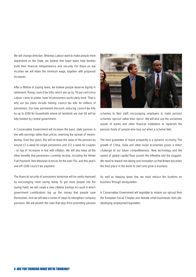We will change direction. Whereas Labour want to make people more dependent on the State, we believe that lower taxes help families build their financial independence and security. For those on low incomes we will retain the minimum wage, together with proposed increases.

After a lifetime of paying taxes, we believe people deserve dignity in retirement. Rising council tax bills, which are up by 76 per cent since Labour came to power, have hit pensioners particularly hard. That is why our tax plans include halving council tax bills for millions of pensioners. Our new, permanent discount, reducing council tax bills by up to £500 for households where all residents are over 65 will be fully funded by central government.

A Conservative Government will increase the basic state pension in line with earnings rather than prices, reversing the spread of meanstesting. Over four years, this will increase the value of the pension by around £7 a week for single pensioners and £11 a week for couples – on top of increases in line with inflation. We will also keep all the other benefits that pensioners currently receive, including the Winter Fuel Payment, free television licences for the over-75s, and this year's one-off £200 council tax payment.

The financial security of pensioners tomorrow will be vastly improved by encouraging more saving today. To get more people into the saving habit, we will create a new Lifetime Savings Account in which government contributions top up the money that people save themselves. And we will take a series of steps to strengthen company pensions. We will abolish the rules that stop firms promoting pension



schemes to their staff, encouraging employers to make pension schemes 'opt-out' rather than 'opt-in'. We will also use the unclaimed assets of banks and other financial institutions to replenish the pension funds of people who lose out when a scheme fails.

The best guarantee of future prosperity is a dynamic economy. The growth of China, India and other Asian economies poses a direct challenge to our future competitiveness. New technology and the speed of global capital flows punish the inflexible and the sluggish. We need to reward risk-taking and innovation so that Britain becomes the best place in the world to start and grow a business.

As well as keeping taxes low, we must reduce the burdens on business through deregulation.

A Conservative Government will negotiate to restore our opt-out from the European Social Chapter and liberate small businesses from jobdestroying employment legislation.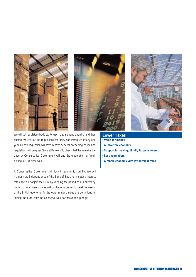



We will set regulatory budgets for each department, capping and then cutting the cost of the regulations that they can introduce in any one year. All new regulation will have to have benefits exceeding costs, and regulations will be given 'Sunset Reviews' to check that this remains the case. A Conservative Government will end the elaboration or 'goldplating' of EU directives.

A Conservative Government will lock in economic stability. We will maintain the independence of the Bank of England in setting interest rates. We will not join the Euro. By keeping the pound as our currency, control of our interest rates will continue to be set to meet the needs of the British economy. As the other major parties are committed to joining the euro, only the Conservatives can make this pledge.

### **Lower Taxes**

- **Value for money**
- **A lower tax economy**
- **Support for saving, dignity for pensioners**
- **Less regulation**
- **A stable economy with low interest rates**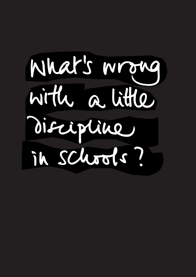Nhat's wrong with a little Discriptine ih schools?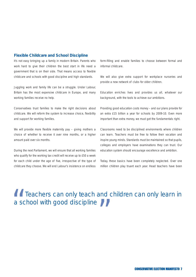### **Flexible Childcare and School Discipline**

It's not easy bringing up a family in modern Britain. Parents who work hard to give their children the best start in life need a government that is on their side. That means access to flexible childcare and schools with good discipline and high standards.

Juggling work and family life can be a struggle. Under Labour, Britain has the most expensive childcare in Europe, and many working families receive no help.

Conservatives trust families to make the right decisions about childcare. We will reform the system to increase choice, flexibility and support for working families.

We will provide more flexible maternity pay - giving mothers a choice of whether to receive it over nine months, or a higher amount paid over six months.

During the next Parliament, we will ensure that all working families who qualify for the working tax credit will receive up to £50 a week for each child under the age of five, irrespective of the type of childcare they choose. We will end Labour's insistence on endless form-filling and enable families to choose between formal and informal childcare.

We will also give extra support for workplace nurseries and provide a new network of clubs for older children.

Education enriches lives and provides us all, whatever our background, with the tools to achieve our ambitions.

Providing good education costs money – and our plans provide for an extra £15 billion a year for schools by 2009-10. Even more important than extra money, we must get the fundamentals right.

Classrooms need to be disciplined environments where children can learn. Teachers must be free to follow their vocation and inspire young minds. Standards must be maintained so that pupils, colleges and employers have examinations they can trust. Our education system should encourage excellence and ambition.

Today, these basics have been completely neglected. Over one million children play truant each year. Head teachers have been

# **Teachers can only teach and children can only learn in** a school with good discipline  $\frac{1}{a}$  so **"**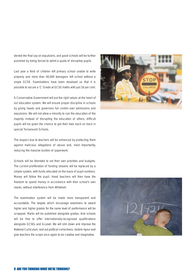denied the final say on expulsions, and good schools will be further punished by being forced to admit a quota of disruptive pupils.

Last year a third of children left primary school unable to write properly and more than 40,000 teenagers left school without a single GCSE. Examinations have been devalued so that it is possible to secure a 'C' Grade at GCSE maths with just 16 per cent.

A Conservative Government will put the right values at the heart of our education system. We will ensure proper discipline in schools by giving heads and governors full control over admissions and expulsions. We will not allow a minority to ruin the education of the majority. Instead of disrupting the education of others, difficult pupils will be given the chance to get their lives back on track in special Turnaround Schools.

The respect due to teachers will be enhanced by protecting them against malicious allegations of abuse and, most importantly, reducing the massive burden of paperwork.

Schools will be liberated to set their own priorities and budgets. The current proliferation of funding streams will be replaced by a simple system, with funds allocated on the basis of pupil numbers. Money will follow the pupil. Head teachers will then have the freedom to spend money in accordance with their school's own needs, without interference from Whitehall.

The examination system will be made more transparent and accountable. The targets which encourage examiners to award higher and higher grades for the same level of performance will be scrapped. Marks will be published alongside grades. And schools will be free to offer internationally-recognised qualifications alongside GCSEs and A-Level. We will slim down and improve the National Curriculum, root out political correctness, restore rigour and give teachers the scope once again to be creative and imaginative.



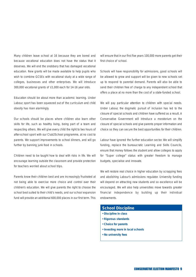Many children leave school at 16 because they are bored and because vocational education does not have the status that it deserves. We will end the snobbery that has damaged vocational education. New grants will be made available to help pupils who wish to combine GCSEs with vocational study at a wide range of colleges, businesses and other enterprises. We will introduce 300,000 vocational grants of £1,000 each for 14-16 year olds.

Education should be about more than academic learning. Under Labour, sport has been squeezed out of the curriculum and child obesity has risen alarmingly.

Our schools should be places where children also learn other skills for life, such as healthy living, being part of a team and respecting others. We will give every child the right to two hours of after-school sport with our Club2School programme, at no cost to parents. We support improvements to school dinners, and will go further by banning junk food in schools.

Children need to be taught how to deal with risks in life. We will encourage learning outside the classroom and provide protection for teachers worried about school trips.

Parents know their children best and are increasingly frustrated at not being able to exercise more choice and control over their children's education. We will give parents the right to choose the school best suited to their child's needs, and our school expansion fund will provide an additional 600,000 places in our first term. This will ensure that in our first five years 100,000 more parents get their first choice of school.

Schools will have responsibility for admissions, good schools will be allowed to grow and support will be given to new schools set up to respond to parental demand. Parents will also be able to send their children free of charge to any independent school that offers a place at no more than the cost of a state-funded school.

We will pay particular attention to children with special needs. Under Labour, the dogmatic pursuit of inclusion has led to the closure of special schools and children have suffered as a result. A Conservative Government will introduce a moratorium on the closure of special schools and give parents proper information and choice so they can secure the best opportunities for their children.

Labour have ignored the further education sector. We will simplify funding, replace the bureaucratic Learning and Skills Councils, ensure that money follows the student and allow colleges to apply for "Super college" status with greater freedom to manage budgets, specialise and innovate.

We will restore real choice in higher education by scrapping fees and abolishing Labour's admissions regulator. University funding will depend on attracting new students and so excellence will be encouraged. We will also help universities move towards greater financial independence by building up their individual endowments.

### **School Discipline**

- **Discipline in class**
- **Rigorous standards**
- **Choice for parents**
- **Investing more in local schools**
- **No university fees**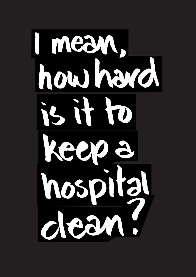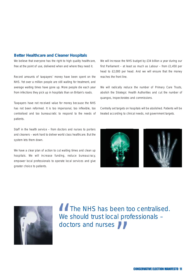### **Better Healthcare and Cleaner Hospitals**

We believe that everyone has the right to high quality healthcare, free at the point of use, delivered when and where they need it.

Record amounts of taxpayers' money have been spent on the NHS. Yet over a million people are still waiting for treatment, and average waiting times have gone up. More people die each year from infections they pick up in hospitals than on Britain's roads.

Taxpayers have not received value for money because the NHS has not been reformed. It is too impersonal, too inflexible, too centralised and too bureaucratic to respond to the needs of patients.

Staff in the health service – from doctors and nurses to porters and cleaners – work hard to deliver world class healthcare. But the system lets them down.

We have a clear plan of action to cut waiting times and clean up hospitals. We will increase funding, reduce bureaucracy, empower local professionals to operate local services and give greater choice to patients.

We will increase the NHS budget by £34 billion a year during our first Parliament – at least as much as Labour – from £1,450 per head to £2,000 per head. And we will ensure that the money reaches the front line.

We will radically reduce the number of Primary Care Trusts, abolish the Strategic Health Authorities and cut the number of quangos, inspectorates and commissions.

Centrally set targets on hospitals will be abolished. Patients will be treated according to clinical needs, not government targets.







II The NHS has been too centralised. We should trust local professionals -"<br>
We<br>
doc doctors and nurses  $\overrightarrow{II}$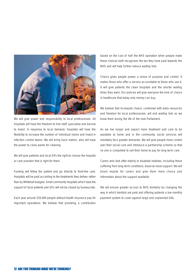

We will give power and responsibility to local professionals. All hospitals will have the freedom to hire staff, specialise and borrow to invest. In response to local demand, hospitals will have the flexibility to increase the number of individual rooms and invest in infection control teams. We will bring back matron, who will have the power to close wards for cleaning.

We will give patients and local GPs the right to choose the hospital or care provider that is right for them.

Funding will follow the patient and go directly to front-line care. Hospitals will be paid according to the treatments they deliver, rather than by Whitehall budgets. Small community hospitals which have the support of local patients and GPs will not be closed by bureaucrats.

Each year around 220,000 people without health insurance pay for important operations. We believe that providing a contribution based on the cost of half the NHS operation when people make these choices both recognises the tax they have paid towards the NHS and will help further reduce waiting lists.

Choice gives people power, a sense of purpose and control. It makes those who offer a service accountable to those who use it. It will give patients the clean hospitals and the shorter waiting times they want. Our policies will give everyone the kind of choice in healthcare that today only money can buy.

We believe that increased choice, combined with extra resources and freedom for local professionals, will end waiting lists as we know them during the life of the next Parliament.

As we live longer and expect more treatment and care to be available at home and in the community, social services will inevitably face greater demands. We will give people more control over their social care and introduce a partnership scheme so that no one is compelled to sell their home to pay for long-term care.

Carers who look after elderly or disabled relatives, including those suffering from long-term conditions, deserve more support. We will boost respite for carers and give them more choice and information about the support available.

We will ensure greater access to NHS dentistry by changing the way in which dentists are paid and offering patients a low monthly payment system to cover against large and unplanned bills.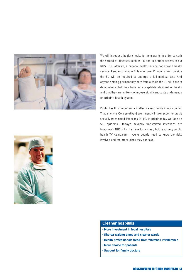

We will introduce health checks for immigrants in order to curb the spread of diseases such as TB and to protect access to our NHS. It is, after all, a national health service not a world health service. People coming to Britain for over 12 months from outside the EU will be required to undergo a full medical test. And anyone settling permanently here from outside the EU will have to demonstrate that they have an acceptable standard of health and that they are unlikely to impose significant costs or demands on Britain's health system.

Public health is important – it affects every family in our country. That is why a Conservative Government will take action to tackle sexually transmitted infections (STIs). In Britain today we face an STI epidemic. Today's sexually transmitted infections are tomorrow's NHS bills. It's time for a clear, bold and very public health TV campaign – young people need to know the risks involved and the precautions they can take.



### **Cleaner hospitals**

- **• More investment in local hospitals**
- **• Shorter waiting times and cleaner wards**
- **• Health professionals freed from Whitehall interference**
- **• More choice for patients**
- **• Support for family doctors**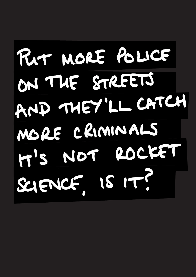# PUT MORE POLICE ON THE STREETS AND THEY'LL CATCH MORE CRIMINALS H'S NOT ROCKET SCIENCE IS IT?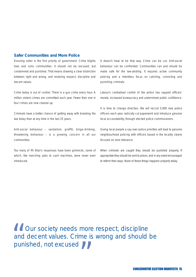### **Safer Communities and More Police**

Ensuring order is the first priority of government. Crime blights lives and ruins communities: it should not be excused, but condemned and punished. That means drawing a clear distinction between right and wrong, and restoring respect, discipline and decent values.

Crime today is out of control. There is a gun crime every hour. A million violent crimes are committed each year. Fewer than one in four crimes are now cleared up.

Criminals have a better chance of getting away with breaking the law today than at any time in the last 25 years.

Anti-social behaviour – vandalism, graffiti, binge-drinking, threatening behaviour – is a growing concern in all our communities.

Too many of Mr Blair's responses have been gimmicks, some of which, like marching yobs to cash machines, were never even introduced.

It doesn't have to be that way. Crime can be cut. Anti-social behaviour can be confronted. Communities can and should be made safe for the law-abiding. It requires active community policing and a relentless focus on catching, convicting and punishing criminals.

Labour's centralised control of the police has sapped officers' morale, increased bureaucracy and undermined public confidence.

It is time to change direction. We will recruit 5,000 new police officers each year, radically cut paperwork and introduce genuine local accountability, through elected police commissioners.

Giving local people a say over police priorities will lead to genuine neighbourhood policing with officers based in the locality clearly focused on zero tolerance.

When criminals are caught they should be punished properly. If appropriate they should be sent to prison, and in any event encouraged to reform their ways. None of these things happens properly today.

**11** Our society needs more respect, discipline and decent values. Crime is wrong and should be *II*<br>and<br>pun punished, not excused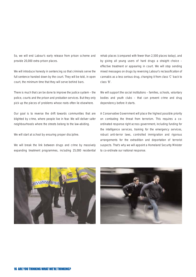So, we will end Labour's early release from prison scheme and provide 20,000 extra prison places.

We will introduce honesty in sentencing so that criminals serve the full sentence handed down by the court. They will be told, in open court, the minimum time that they will serve behind bars.

There is much that can be done to improve the justice system – the police, courts and the prison and probation services. But they only pick up the pieces of problems whose roots often lie elsewhere.

Our goal is to reverse the drift towards communities that are blighted by crime, where people live in fear. We will deliver safer neighbourhoods where the streets belong to the law-abiding.

We will start at school by ensuring proper discipline.

We will break the link between drugs and crime by massively expanding treatment programmes, including 25,000 residential rehab places (compared with fewer than 2,500 places today), and by giving all young users of hard drugs a straight choice – effective treatment or appearing in court. We will stop sending mixed messages on drugs by reversing Labour's reclassification of cannabis as a less serious drug, changing it from class 'C' back to class 'B'.

We will support the social institutions – families, schools, voluntary bodies and youth clubs – that can prevent crime and drug dependency before it starts.

A Conservative Government will place the highest possible priority on combating the threat from terrorism. This requires a coordinated response right across government, including funding for the intelligence services, training for the emergency services, robust anti-terror laws, controlled immigration and rigorous arrangements for the extradition and deportation of terrorist suspects. That's why we will appoint a Homeland Security Minister to co-ordinate our national response.



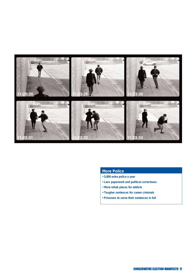

### **More Police**

- **5,000 extra police a year**
- **Less paperwork and political correctness**
- **More rehab places for addicts**
- **Tougher sentences for career criminals**
- **Prisoners to serve their sentences in full**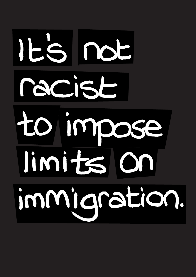# IL'S not racist to impose limits on immigration.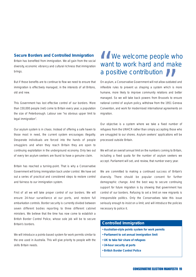### **Secure Borders and Controlled Immigration**

Britain has benefited from immigration. We all gain from the social diversity, economic vibrancy and cultural richness that immigration brings.

But if those benefits are to continue to flow we need to ensure that immigration is effectively managed, in the interests of all Britons, old and new.

This Government has lost effective control of our borders. More than 150,000 people (net) come to Britain every year, a population the size of Peterborough. Labour see "no obvious upper limit to legal immigration".

Our asylum system is in chaos. Instead of offering a safe haven to those most in need, the current system encourages illegality. Desperate individuals are forced into the hands of people smugglers and when they reach Britain they are open to continuing exploitation in the underground economy. Only two out of every ten asylum seekers are found to have a genuine claim.

Britain has reached a turning-point. That is why a Conservative Government will bring immigration back under control. We have set out a series of practical and considered steps to restore control and fairness to our immigration system.

First of all we will take proper control of our borders. We will ensure 24-hour surveillance at our ports, and restore full embarkation controls. Border security is currently divided between seven different bodies reporting to three different cabinet ministers. We believe that the time has now come to establish a British Border Control Police, whose sole job will be to secure Britain's borders.

We will introduce a points-based system for work permits similar to the one used in Australia. This will give priority to people with the skills Britain needs.

# We welcome people who want to work hard and make  $\frac{11}{1}$  wand

On asylum, a Conservative Government will not allow outdated and inflexible rules to prevent us shaping a system which is more humane, more likely to improve community relations and better managed. So we will take back powers from Brussels to ensure national control of asylum policy, withdraw from the 1951 Geneva Convention, and work for modernised international agreements on migration. a positive contribution<br>On asylum, a Conservative Government will not allow outdated<br>inflexible rules to prevent us shaping a system which is<br>humane, more likely to improve community relations and b<br>managed. So we will tak

Our objective is a system where we take a fixed number of refugees from the UNHCR rather than simply accepting those who are smuggled to our shores. Asylum seekers' applications will be processed outside Britain.

We will set an overall annual limit on the numbers coming to Britain, including a fixed quota for the number of asylum seekers we accept. Parliament will set, and review, that number every year.

We are committed to making a continued success of Britain's diversity. There should be popular consent for further demographic change. And the best way to secure continuing support for future migration is by showing that government has control of our borders. Refusing to set a limit on new migrants is irresponsible politics. Only the Conservatives take this issue seriously enough to insist on a limit, and will introduce the policies necessary to police it.

### **Controlled Immigration**

- **Australian-style points system for work permits**
- **Parliament to set annual immigration limit**
- **UK to take fair share of refugees**
- **24-hour security at ports**
- **British Border Control Police**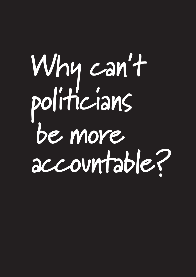# **Why can't politicians be more accountable?**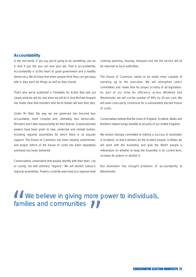### **Accountability**

In the real world, if you say you're going to do something, you do it. And if you fail, you can lose your job. That is accountability. Accountability is at the heart of good government and a healthy democracy. We all know that when people think they can get away with it, they won't do things as well as they should.

That's why we've published a Timetable for Action that sets out clearly what we will do, and when we will do it. And Michael Howard has made clear that ministers who fail to deliver will lose their jobs.

Under Mr Blair, the way we are governed has become less accountable, more complex and, ultimately, less democratic. Ministers don't take responsibility for their failures. Unprecedented powers have been given to new, unelected and remote bodies, including regional assemblies for which there is no popular support. The House of Commons has been steadily undermined, and proper reform of the House of Lords has been repeatedly promised but never delivered.

Conservatives understand that people identify with their town, city or county, not with arbitrary "regions". We will abolish Labour's regional assemblies. Powers currently exercised at a regional level covering planning, housing, transport and the fire service will all be returned to local authorities.

The House of Commons needs to be made more capable of standing up to the executive. We will strengthen select committees and make time for proper scrutiny of all legislation. As part of our drive for efficiency across Whitehall and Westminster, we will cut the number of MPs by 20 per cent. We will seek cross-party consensus for a substantially elected House of Lords.

Conservatives believe that the Union of England, Scotland, Wales and Northern Ireland brings benefits to all parts of our United Kingdom.

We remain strongly committed to making a success of devolution in Scotland, so that it delivers for the Scottish people. In Wales we will work with the Assembly and give the Welsh people a referendum on whether to keep the Assembly in its current form, increase its powers or abolish it.

But devolution has brought problems of accountability at Westminster.

# II We believe in giving more power to individuals, families and communities  $\frac{1}{2}$  fam "<br>"<br>"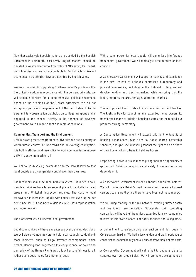Now that exclusively Scottish matters are decided by the Scottish Parliament in Edinburgh, exclusively English matters should be decided in Westminster without the votes of MPs sitting for Scottish constituencies who are not accountable to English voters. We will act to ensure that English laws are decided by English votes.

We are committed to supporting Northern Ireland's position within the United Kingdom in accordance with the consent principle. We will continue to work for a comprehensive political settlement, based on the principles of the Belfast Agreement. We will not accept any party into the government of Northern Ireland linked to a paramilitary organisation that holds on to illegal weapons and is engaged in any criminal activity. In the absence of devolved government, we will make direct rule more accountable.

#### **Communities, Transport and the Environment**

Britain draws great strength from its diversity. We are a country of vibrant urban centres, historic towns and an evolving countryside. It is both inefficient and insensitive to local communities to impose uniform control from Whitehall.

We believe in devolving power down to the lowest level so that local people are given greater control over their own lives.

Local councils should be accountable to voters. But under Labour, people's priorities have taken second place to centrally imposed targets and Whitehall inspection regimes. The cost to local taxpayers has increased rapidly, with council tax levels up 76 per cent since 1997. It has been a vicious circle – less representation and more taxation.

The Conservatives will liberate local government.

Local communities will have a greater say over planning decisions. We will also give new powers to help local councils to deal with those incidents, such as illegal traveller encampments, which breach planning laws. Together with clear guidance for police and our review of the Human Rights Act, this will ensure fairness for all, rather than special rules for different groups.

With greater power for local people will come less interference from central government. We will radically cut the burdens on local councils.

A Conservative Government will support creativity and excellence in the arts. Instead of Labour's centralised bureaucracy and political interference, including in the National Lottery, we will devolve funding and decision-making while ensuring that the lottery supports the arts, heritage, sport and charities.

The most powerful form of devolution is to individuals and families. The Right to Buy for council tenants extended home ownership, transformed many of Britain's housing estates and expanded our property-owning democracy.

A Conservative Government will extend this right to tenants of housing associations. Our plans to boost shared ownership schemes, and give social housing tenants the right to own a share of their home, will also benefit first-time buyers.

Empowering individuals also means giving them the opportunity to get around Britain more quickly and safely. A modern economy depends on it.

A Conservative Government will end Labour's war on the motorist. We will modernise Britain's road network and review all speed cameras to ensure they are there to save lives, not make money.

We will bring stability to the rail network, avoiding further costly and inefficient re-organisation. Successful train operating companies will have their franchises extended to allow companies to invest in improved stations, car parks, facilities and rolling stock.

A commitment to safeguarding our environment lies deep in Conservative thinking. We instinctively understand the importance of conservation, natural beauty and our duty of stewardship of the earth.

A Conservative Government will call a halt to Labour's plans to concrete over our green fields. We will promote development on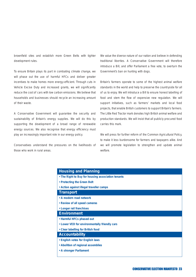brownfield sites and establish more Green Belts with tighter development rules.

To ensure Britain plays its part in combating climate change, we will phase out the use of harmful HFCs and deliver greater incentives to make homes more energy-efficient. Through cuts in Vehicle Excise Duty and increased grants, we will significantly reduce the cost of cars with low carbon emissions. We believe that households and businesses should recycle an increasing amount of their waste.

A Conservative Government will guarantee the security and sustainability of Britain's energy supplies. We will do this by supporting the development of a broad range of renewable energy sources. We also recognise that energy efficiency must play an increasingly important role in our energy policy.

Conservatives understand the pressures on the livelihoods of those who work in rural areas.

We value the diverse nature of our nation and believe in defending traditional liberties. A Conservative Government will therefore introduce a Bill, and offer Parliament a free vote, to overturn the Government's ban on hunting with dogs.

Britain's farmers operate to some of the highest animal welfare standards in the world and help to preserve the countryside for all of us to enjoy. We will introduce a Bill to ensure honest labelling of food and stem the flow of expensive new regulation. We will support initiatives, such as farmers' markets and local food projects, that enable British customers to support Britain's farmers. The Little Red Tractor mark denotes high British animal welfare and production standards. We will insist that all publicly procured food carries this mark.

We will press for further reform of the Common Agricultural Policy, to make it less burdensome for farmers and taxpayers alike. And we will promote legislation to strengthen and update animal welfare.

| <b>Housing and Planning</b>             |                                                    |
|-----------------------------------------|----------------------------------------------------|
|                                         | • The Right to Buy for housing association tenants |
| • Protecting the Green Belt             |                                                    |
|                                         | . Action against illegal traveller camps           |
| <b>Transport</b>                        |                                                    |
| • A modern road network                 |                                                    |
| . Review of all speed cameras           |                                                    |
| • Longer rail franchises                |                                                    |
| <b>Environment</b>                      |                                                    |
| · Harmful HFCs phased out               |                                                    |
|                                         | . Lower VED for environmentally friendly cars      |
| • Clear labelling for British food      |                                                    |
| <b>Accountability</b>                   |                                                    |
| <b>· English votes for English laws</b> |                                                    |
|                                         | . Abolition of regional assemblies                 |
| . A stronger Parliament                 |                                                    |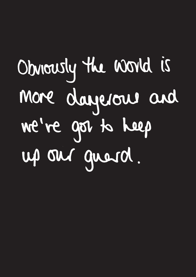Obviously the world is more dayerous and we're got to heep up our guard.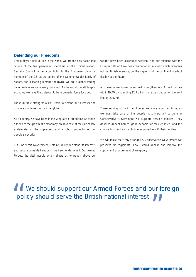### **Defending our Freedoms**

Britain plays a unique role in the world. We are the only nation that is one of the five permanent members of the United Nations Security Council, a net contributor to the European Union, a member of the G8, at the centre of the Commonwealth family of nations and a leading member of NATO. We are a global trading nation with interests in every continent. As the world's fourth largest economy, we have the potential to be a powerful force for good.

These durable strengths allow Britain to defend our interests and promote our values across the globe.

As a country, we have been in the vanguard of freedom's advance, a friend to the growth of democracy, an advocate of the rule of law, a defender of the oppressed and a robust protector of our people's security.

But, under this Government, Britain's ability to defend its interests and secure valuable freedoms has been undermined. Our Armed Forces, the vital muscle which allows us to punch above our weight, have been allowed to weaken. And our relations with the European Union have been mismanaged in a way which threatens not just British interests, but the capacity of the continent to adapt flexibly to the future.

A Conservative Government will strengthen our Armed Forces within NATO by spending £2.7 billion more than Labour on the front line by 2007-08.

Those serving in our Armed Forces are vitally important to us, so we must take care of the people most important to them. A Conservative Government will support service families. They deserve decent homes, good schools for their children, and the chance to spend as much time as possible with their families.

We will make the Army stronger. A Conservative Government will preserve the regiments Labour would abolish and improve the supply and procurement of weaponry.

We should support our Armed Forces and our foreign policy should serve the British national interest  $\frac{11}{100}$ **"**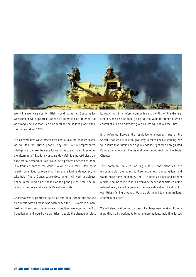

We will save warships Mr Blair would scrap. A Conservative Government will support European co-operation on defence but we strongly believe that such co-operation should take place within the framework of NATO.

If a Conservative Government ever has to take the country to war, we will tell the British people why. Mr Blair misrepresented intelligence to make the case for war in Iraq, and failed to plan for the aftermath of Saddam Hussein's downfall. It is nevertheless the case that a democratic Iraq would be a powerful beacon of hope in a troubled part of the world. So we believe that Britain must remain committed to rebuilding Iraq and allowing democracy to take hold. And a Conservative Government will work to achieve peace in the Middle East based on the principle of Israel secure within its borders and a viable Palestinian state.

Conservatives support the cause of reform in Europe and we will co-operate with all those who wish to see the EU evolve in a more flexible, liberal and decentralised direction. We oppose the EU Constitution and would give the British people the chance to reject

its provisions in a referendum within six months of the General Election. We also oppose giving up the valuable freedom which control of our own currency gives us. We will not join the Euro.

In a reformed Europe, the restrictive employment laws of the Social Chapter will have to give way to more flexible working. We will ensure that Britain once again leads the fight for a deregulated Europe by negotiating the restoration of our opt-out from the Social Chapter.

The common policies on agriculture and fisheries are unsustainable, damaging to free trade and conservation, and waste huge sums of money. The CAP needs further and deeper reform. And, because fisheries would be better administered at the national level, we will negotiate to restore national and local control over British fishing grounds. We are determined to ensure national control in this area.

We will also build on the success of enlargement, making Europe more diverse by working to bring in more nations, including Turkey.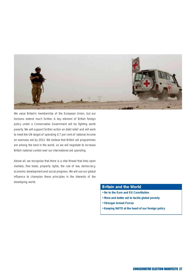

We value Britain's membership of the European Union, but our horizons extend much further. A key element of British foreign policy under a Conservative Government will be fighting world poverty. We will support further action on debt relief and will work to meet the UN target of spending 0.7 per cent of national income on overseas aid by 2013. We believe that British aid programmes are among the best in the world, so we will negotiate to increase British national control over our international aid spending.

Above all, we recognise that there is a vital thread that links open markets, free trade, property rights, the rule of law, democracy, economic development and social progress. We will use our global influence to champion these principles in the interests of the developing world.

### **Britain and the World**

- **No to the Euro and EU Constitution**
- **More and better aid to tackle global poverty**
- **Stronger Armed Forces**
- **Keeping NATO at the heart of our foreign policy**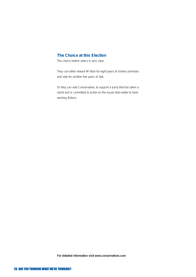### **The Choice at this Election**

The choice before voters is very clear.

They can either reward Mr Blair for eight years of broken promises and vote for another five years of talk.

Or they can vote Conservative, to support a party that has taken a stand and is committed to action on the issues that matter to hardworking Britons.

**For detailed information visit www.conservatives.com**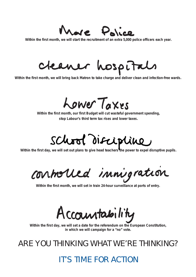

**Within the first month, we will start the recruitment of an extra 5,000 police officers each year.** 

cleaner hospitals

**Within the first month, we will bring back Matron to take charge and deliver clean and infection-free wards.**

Lower Taxes

**Within the first month, our first Budget will cut wasteful government spending, stop Labour's third term tax rises and lower taxes.**

School discipline

Within the first day, we will set out plans to give head teachers<sup>the</sup> power to expel disruptive pupils.

controlled immigration

**Within the first month, we will set in train 24-hour surveillance at ports of entry.**

Accountability

**Within the first day, we will set a date for the referendum on the European Constitution, in which we will campaign for a "no" vote.**

## ARE YOU THINKING WHAT WE'RE THINKING?

## IT'S TIME FOR ACTION